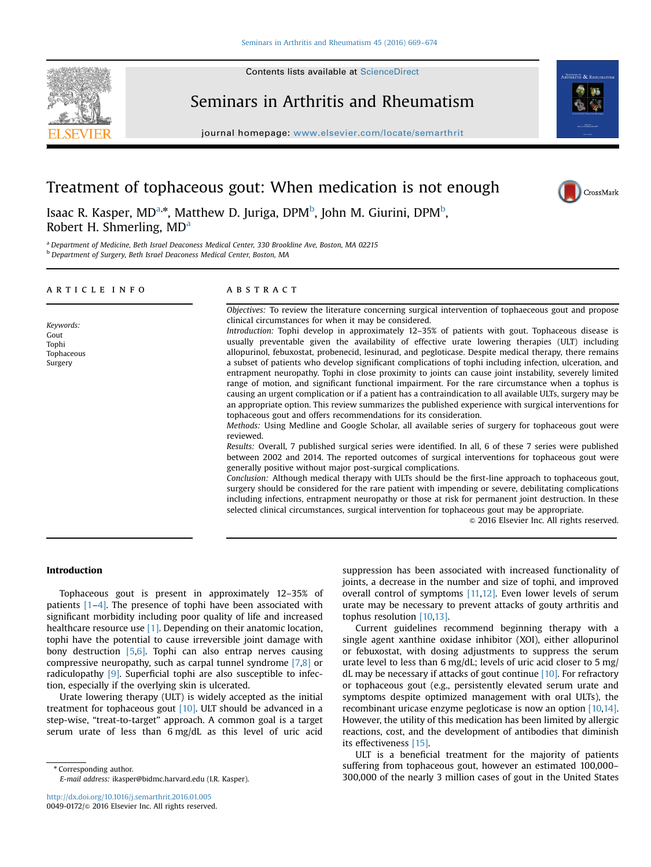

## Seminars in Arthritis and Rheumatism

journal homepage: <www.elsevier.com/locate/semarthrit>



# Treatment of tophaceous gout: When medication is not enough

CrossMark

### Isaac R. Kasper, MD<sup>a,\*</sup>, Matthew D. Juriga, DPM<sup>b</sup>, John M. Giurini, DPM<sup>b</sup>, Robert H. Shmerling, MD<sup>a</sup>

<sup>a</sup> Department of Medicine, Beth Israel Deaconess Medical Center, 330 Brookline Ave, Boston, MA 02215 b Department of Surgery, Beth Israel Deaconess Medical Center, Boston, MA

| ARTICLE INFO                                        | ABSTRACT                                                                                                                                                                                                                                                                                                                                                                                                                                                                                                                                                                                                                                                                                                                                                                                                                                                                                                                                                                                                                                                                                                                                                                                                                         |
|-----------------------------------------------------|----------------------------------------------------------------------------------------------------------------------------------------------------------------------------------------------------------------------------------------------------------------------------------------------------------------------------------------------------------------------------------------------------------------------------------------------------------------------------------------------------------------------------------------------------------------------------------------------------------------------------------------------------------------------------------------------------------------------------------------------------------------------------------------------------------------------------------------------------------------------------------------------------------------------------------------------------------------------------------------------------------------------------------------------------------------------------------------------------------------------------------------------------------------------------------------------------------------------------------|
| Keywords:<br>Gout<br>Tophi<br>Tophaceous<br>Surgery | Objectives: To review the literature concerning surgical intervention of tophaeceous gout and propose<br>clinical circumstances for when it may be considered.<br>Introduction: Tophi develop in approximately 12–35% of patients with gout. Tophaceous disease is<br>usually preventable given the availability of effective urate lowering therapies (ULT) including<br>allopurinol, febuxostat, probenecid, lesinurad, and pegloticase. Despite medical therapy, there remains<br>a subset of patients who develop significant complications of tophi including infection, ulceration, and<br>entrapment neuropathy. Tophi in close proximity to joints can cause joint instability, severely limited<br>range of motion, and significant functional impairment. For the rare circumstance when a tophus is<br>causing an urgent complication or if a patient has a contraindication to all available ULTs, surgery may be<br>an appropriate option. This review summarizes the published experience with surgical interventions for<br>tophaceous gout and offers recommendations for its consideration.<br>Methods: Using Medline and Google Scholar, all available series of surgery for tophaceous gout were<br>reviewed. |
|                                                     | Results: Overall, 7 published surgical series were identified. In all, 6 of these 7 series were published<br>between 2002 and 2014. The reported outcomes of surgical interventions for tophaceous gout were<br>generally positive without major post-surgical complications.<br>Conclusion: Although medical therapy with ULTs should be the first-line approach to tophaceous gout,<br>surgery should be considered for the rare patient with impending or severe, debilitating complications<br>including infections, entrapment neuropathy or those at risk for permanent joint destruction. In these<br>selected clinical circumstances, surgical intervention for tophaceous gout may be appropriate.<br>© 2016 Elsevier Inc. All rights reserved.                                                                                                                                                                                                                                                                                                                                                                                                                                                                         |

#### Introduction

Tophaceous gout is present in approximately 12–35% of patients [\[1](#page--1-0)–[4\].](#page--1-0) The presence of tophi have been associated with significant morbidity including poor quality of life and increased healthcare resource use [\[1\].](#page--1-0) Depending on their anatomic location, tophi have the potential to cause irreversible joint damage with bony destruction [\[5,6\]](#page--1-0). Tophi can also entrap nerves causing compressive neuropathy, such as carpal tunnel syndrome [\[7,8\]](#page--1-0) or radiculopathy [\[9\]](#page--1-0). Superficial tophi are also susceptible to infection, especially if the overlying skin is ulcerated.

Urate lowering therapy (ULT) is widely accepted as the initial treatment for tophaceous gout  $[10]$ . ULT should be advanced in a step-wise, "treat-to-target" approach. A common goal is a target serum urate of less than 6 mg/dL as this level of uric acid

\* Corresponding author. E-mail address: [ikasper@bidmc.harvard.edu \(I.R. Kasper\).](mailto:ikasper@bidmc.harvard.edu) suppression has been associated with increased functionality of joints, a decrease in the number and size of tophi, and improved overall control of symptoms [\[11,12\].](#page--1-0) Even lower levels of serum urate may be necessary to prevent attacks of gouty arthritis and tophus resolution [\[10,13\]](#page--1-0).

Current guidelines recommend beginning therapy with a single agent xanthine oxidase inhibitor (XOI), either allopurinol or febuxostat, with dosing adjustments to suppress the serum urate level to less than 6 mg/dL; levels of uric acid closer to 5 mg/ dL may be necessary if attacks of gout continue [\[10\].](#page--1-0) For refractory or tophaceous gout (e.g., persistently elevated serum urate and symptoms despite optimized management with oral ULTs), the recombinant uricase enzyme pegloticase is now an option [\[10,14\].](#page--1-0) However, the utility of this medication has been limited by allergic reactions, cost, and the development of antibodies that diminish its effectiveness [\[15\].](#page--1-0)

ULT is a beneficial treatment for the majority of patients suffering from tophaceous gout, however an estimated 100,000– 300,000 of the nearly 3 million cases of gout in the United States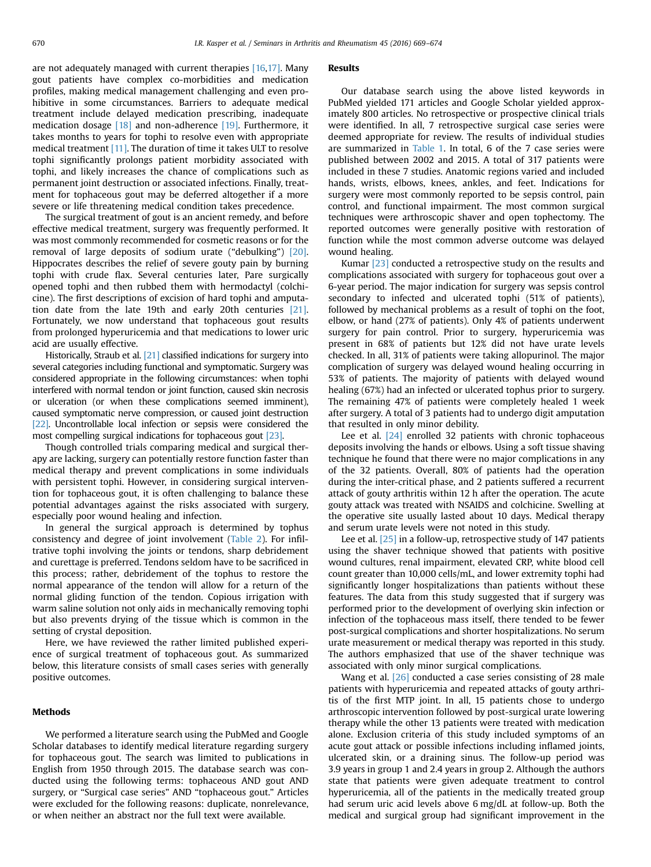are not adequately managed with current therapies [\[16](#page--1-0),[17\].](#page--1-0) Many gout patients have complex co-morbidities and medication profiles, making medical management challenging and even prohibitive in some circumstances. Barriers to adequate medical treatment include delayed medication prescribing, inadequate medication dosage [\[18\]](#page--1-0) and non-adherence [\[19\]](#page--1-0). Furthermore, it takes months to years for tophi to resolve even with appropriate medical treatment [\[11\].](#page--1-0) The duration of time it takes ULT to resolve tophi significantly prolongs patient morbidity associated with tophi, and likely increases the chance of complications such as permanent joint destruction or associated infections. Finally, treatment for tophaceous gout may be deferred altogether if a more severe or life threatening medical condition takes precedence.

The surgical treatment of gout is an ancient remedy, and before effective medical treatment, surgery was frequently performed. It was most commonly recommended for cosmetic reasons or for the removal of large deposits of sodium urate ("debulking") [\[20\].](#page--1-0) Hippocrates describes the relief of severe gouty pain by burning tophi with crude flax. Several centuries later, Pare surgically opened tophi and then rubbed them with hermodactyl (colchicine). The first descriptions of excision of hard tophi and amputation date from the late 19th and early 20th centuries [\[21\].](#page--1-0) Fortunately, we now understand that tophaceous gout results from prolonged hyperuricemia and that medications to lower uric acid are usually effective.

Historically, Straub et al. [\[21\]](#page--1-0) classified indications for surgery into several categories including functional and symptomatic. Surgery was considered appropriate in the following circumstances: when tophi interfered with normal tendon or joint function, caused skin necrosis or ulceration (or when these complications seemed imminent), caused symptomatic nerve compression, or caused joint destruction [\[22\]](#page--1-0). Uncontrollable local infection or sepsis were considered the most compelling surgical indications for tophaceous gout [\[23\]](#page--1-0).

Though controlled trials comparing medical and surgical therapy are lacking, surgery can potentially restore function faster than medical therapy and prevent complications in some individuals with persistent tophi. However, in considering surgical intervention for tophaceous gout, it is often challenging to balance these potential advantages against the risks associated with surgery, especially poor wound healing and infection.

In general the surgical approach is determined by tophus consistency and degree of joint involvement ([Table 2\)](#page--1-0). For infiltrative tophi involving the joints or tendons, sharp debridement and curettage is preferred. Tendons seldom have to be sacrificed in this process; rather, debridement of the tophus to restore the normal appearance of the tendon will allow for a return of the normal gliding function of the tendon. Copious irrigation with warm saline solution not only aids in mechanically removing tophi but also prevents drying of the tissue which is common in the setting of crystal deposition.

Here, we have reviewed the rather limited published experience of surgical treatment of tophaceous gout. As summarized below, this literature consists of small cases series with generally positive outcomes.

#### Methods

We performed a literature search using the PubMed and Google Scholar databases to identify medical literature regarding surgery for tophaceous gout. The search was limited to publications in English from 1950 through 2015. The database search was conducted using the following terms: tophaceous AND gout AND surgery, or "Surgical case series" AND "tophaceous gout." Articles were excluded for the following reasons: duplicate, nonrelevance, or when neither an abstract nor the full text were available.

#### Results

Our database search using the above listed keywords in PubMed yielded 171 articles and Google Scholar yielded approximately 800 articles. No retrospective or prospective clinical trials were identified. In all, 7 retrospective surgical case series were deemed appropriate for review. The results of individual studies are summarized in [Table 1.](#page--1-0) In total, 6 of the 7 case series were published between 2002 and 2015. A total of 317 patients were included in these 7 studies. Anatomic regions varied and included hands, wrists, elbows, knees, ankles, and feet. Indications for surgery were most commonly reported to be sepsis control, pain control, and functional impairment. The most common surgical techniques were arthroscopic shaver and open tophectomy. The reported outcomes were generally positive with restoration of function while the most common adverse outcome was delayed wound healing.

Kumar [\[23\]](#page--1-0) conducted a retrospective study on the results and complications associated with surgery for tophaceous gout over a 6-year period. The major indication for surgery was sepsis control secondary to infected and ulcerated tophi (51% of patients), followed by mechanical problems as a result of tophi on the foot, elbow, or hand (27% of patients). Only 4% of patients underwent surgery for pain control. Prior to surgery, hyperuricemia was present in 68% of patients but 12% did not have urate levels checked. In all, 31% of patients were taking allopurinol. The major complication of surgery was delayed wound healing occurring in 53% of patients. The majority of patients with delayed wound healing (67%) had an infected or ulcerated tophus prior to surgery. The remaining 47% of patients were completely healed 1 week after surgery. A total of 3 patients had to undergo digit amputation that resulted in only minor debility.

Lee et al. [\[24\]](#page--1-0) enrolled 32 patients with chronic tophaceous deposits involving the hands or elbows. Using a soft tissue shaving technique he found that there were no major complications in any of the 32 patients. Overall, 80% of patients had the operation during the inter-critical phase, and 2 patients suffered a recurrent attack of gouty arthritis within 12 h after the operation. The acute gouty attack was treated with NSAIDS and colchicine. Swelling at the operative site usually lasted about 10 days. Medical therapy and serum urate levels were not noted in this study.

Lee et al. [\[25\]](#page--1-0) in a follow-up, retrospective study of 147 patients using the shaver technique showed that patients with positive wound cultures, renal impairment, elevated CRP, white blood cell count greater than 10,000 cells/mL, and lower extremity tophi had significantly longer hospitalizations than patients without these features. The data from this study suggested that if surgery was performed prior to the development of overlying skin infection or infection of the tophaceous mass itself, there tended to be fewer post-surgical complications and shorter hospitalizations. No serum urate measurement or medical therapy was reported in this study. The authors emphasized that use of the shaver technique was associated with only minor surgical complications.

Wang et al. [\[26\]](#page--1-0) conducted a case series consisting of 28 male patients with hyperuricemia and repeated attacks of gouty arthritis of the first MTP joint. In all, 15 patients chose to undergo arthroscopic intervention followed by post-surgical urate lowering therapy while the other 13 patients were treated with medication alone. Exclusion criteria of this study included symptoms of an acute gout attack or possible infections including inflamed joints, ulcerated skin, or a draining sinus. The follow-up period was 3.9 years in group 1 and 2.4 years in group 2. Although the authors state that patients were given adequate treatment to control hyperuricemia, all of the patients in the medically treated group had serum uric acid levels above 6 mg/dL at follow-up. Both the medical and surgical group had significant improvement in the